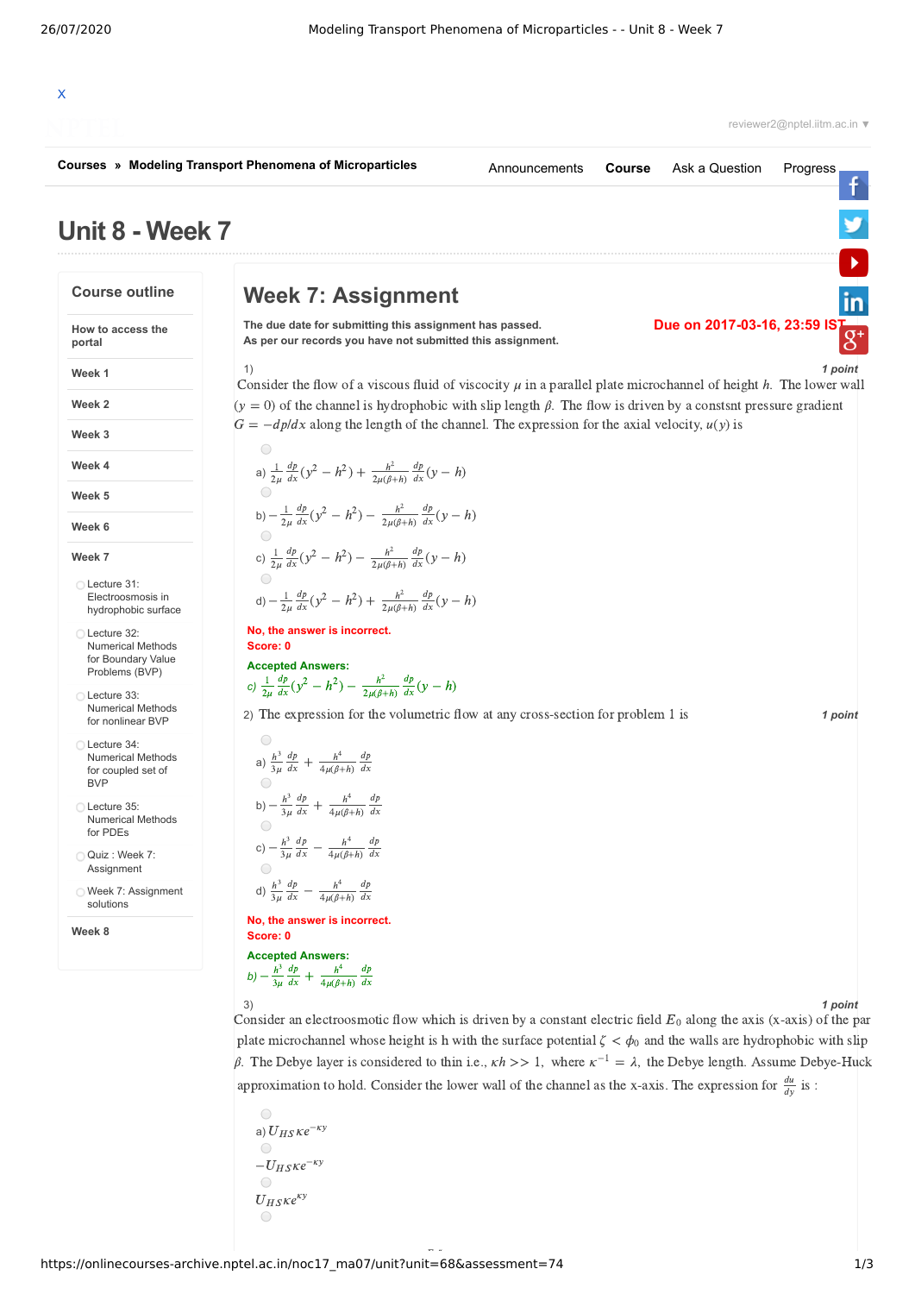# X

reviewer2@nptel.iitm.ac.in ▼

f

 $\frac{1}{\sqrt{1}}$ 

**Due on 2017-03-16, 23:59 IS** 

**[Courses](https://onlinecourses-archive.nptel.ac.in/) » [Modeling Transport Phenomena of Microparticles](https://onlinecourses-archive.nptel.ac.in/noc17_ma07/course)**

```
Announcements Course Ask a Question Progress
```
1) *1 point*

## **Week 7: Assignment**

**The due date for submitting this assignment has passed. As per our records you have not submitted this assignment.**

**How to access the portal**

**Course outline**

**Unit 8 - Week 7**

**Week 1**

**Week 2**

**Week 3**

**Week 4**

**Week 5**

**Week 6**

**Week 7**

Lecture 31: [Electroosmosis](https://onlinecourses-archive.nptel.ac.in/noc17_ma07/unit?unit=68&lesson=69) in hydrophobic surface

Lecture 32: [Numerical](https://onlinecourses-archive.nptel.ac.in/noc17_ma07/unit?unit=68&lesson=70) Methods for Boundary Value Problems (BVP)

Lecture 33: [Numerical](https://onlinecourses-archive.nptel.ac.in/noc17_ma07/unit?unit=68&lesson=71) Methods for nonlinear BVP

Lecture 34: [Numerical](https://onlinecourses-archive.nptel.ac.in/noc17_ma07/unit?unit=68&lesson=72) Methods for coupled set of BVP

Lecture 35: [Numerical](https://onlinecourses-archive.nptel.ac.in/noc17_ma07/unit?unit=68&lesson=73) Methods for PDEs

Quiz : Week 7: [Assignment](https://onlinecourses-archive.nptel.ac.in/noc17_ma07/assessment?name=74)

Week 7: [Assignment](https://onlinecourses-archive.nptel.ac.in/noc17_ma07/unit?unit=68&lesson=87) solutions

**Week 8**

2) The expression for the volumetric flow at any cross-section for problem 1 is **1 point**  $= -dp/dx$  along the length of the chan:<br>
(a)  $\frac{1}{2\mu} \frac{dp}{dx} (y^2 - h^2) + \frac{h^2}{2\mu(\beta + h)} \frac{dp}{dx} (y - h)$ b)  $-\frac{1}{2\mu}$ c)  $\frac{1}{2\mu}$ d)  $-\frac{1}{2\mu}$ **No, the answer is incorrect. Score: 0 Accepted Answers: No, the answer is incorrect.<br>
Score: 0<br>
Accepted Answers:<br>
c)**  $\frac{1}{2\mu} \frac{dp}{dx} (y^2 - h^2) - \frac{h^2}{2\mu(\beta + h)} \frac{dp}{dx} (y - h)$ a)  $\frac{h^3}{3} \frac{dp}{dx} + \frac{1}{3}$ b)  $-\frac{h^3}{3} \frac{dp}{dx} + \frac{1}{3}$ c)  $-\frac{h^3}{2}$ d)  $\frac{h^3}{2} \frac{dp}{dx}$  – -**No, the answer is incorrect.** −**Score: 0 Accepted Answers:** *b*)  $-\frac{h^3}{3u}\frac{dp}{dx} + \frac{1}{3}$ The consider the flow of a viscous fluid of viscocity  $\mu$  in a parallel plate microchannel of height *h*. The lower wall  $(y = 0)$  of the channel is hydrophobic with slip length  $\beta$ . The flow is driven by a constsnt press  $(y = 0)$  of the channel is hydrophobic with slip length  $\beta$ . The flow is driven by a constsnt pressure gradient  $\frac{dp}{dx}(y^2 - h^2) + \frac{h^2}{2\mu(\beta + h)}\frac{dp}{dx}$  $\frac{1}{2\mu} \frac{dp}{dx} (y^2 - h^2) + \frac{h^2}{2\mu(\beta + h)} \frac{dp}{dx} (y - h)$ <br>  $-\frac{1}{2\mu} \frac{dp}{dx} (y^2 - h^2) - \frac{h^2}{2\mu(\beta + h)} \frac{dp}{dx} (y - h)$  $\frac{dp}{dx}(y^2 - h^2) - \frac{h^2}{2\mu(\beta + h)}\frac{dp}{dx}$  $dx$  $\frac{dp}{dx}(y^2 - h^2) - \frac{h^2}{2\mu(\beta + h)} \frac{dp}{dx}(y - h)$ <br>  $(y^2 - h^2) - \frac{h^2}{2\mu(\beta + h)} \frac{dp}{dx}(y - h)$  $\frac{dp}{dx}(y^2 - h^2) - \frac{h^2}{2\mu(\beta + h)}\frac{dp}{dx}$  $\frac{1}{2\mu} \frac{dp}{dx} (y^2 - h^2) - \frac{h^2}{2\mu(\beta + h)} \frac{dp}{dx} (y - h)$ <br>  $-\frac{1}{2\mu} \frac{dp}{dx} (y^2 - h^2) + \frac{h^2}{2\mu(\beta + h)} \frac{dp}{dx} (y - h)$  $\frac{dp}{dx}(y^2 - h^2) + \frac{h^2}{2\mu(\beta + h)}\frac{dp}{dx}$  $dx$  $\frac{dp}{dx}(y^2 - h^2) - \frac{h^2}{2\mu(\beta + h)}\frac{dp}{dx}$  $dx$  $3\mu$  $dp$  $dx$  $\frac{h^4}{4\mu(\beta+h)}\frac{dp}{dx}$  $\frac{h^3}{3\mu} \frac{dp}{dx} + \frac{h^4}{4\mu(\beta+h)} \frac{dp}{dx}$  $3\mu$  $dp$  $dx$  $\frac{h^4}{4\mu(\beta+h)}\frac{dp}{dx}$  $-\frac{h^3}{3\mu}\frac{dp}{dx} + \frac{h^4}{4\mu(\beta+h)}\frac{dp}{dx}$ <br>
<br>
<br>  $-\frac{h^3}{a^2}\frac{dp}{dx} - \frac{h^4}{dx^2}\frac{dp}{dx}$  $3\mu$  $dp$  $dx$  $\frac{h^4}{4\mu(\beta+h)}\frac{dp}{dx}$  $\frac{p}{\alpha} - \frac{h^4}{4\mu(\beta+h)} \frac{dp}{dx}$  $3\mu$  $dp$  $dx$  $\frac{h^4}{4\mu(\beta+h)}\frac{dp}{dx}$  $dx$  $dp$  $\frac{h^4}{4\mu(\beta+h)}\frac{dp}{dx}$ 

3) *1 point*

Consider an electroosmotic flow which is driven by a constant electric field  $E_0$  along the axis (x-axis) of the par plate microchannel whose height is h with the surface potential  $\zeta < \phi_0$  and the walls are hydrophobic with slip  $\beta$ . The Debye layer is considered to thin i.e., *κh* >> 1, where  $\kappa^{-1} = \lambda$ , the Debye length. Assume Debye-Huck  $\begin{bmatrix} 1 & 1 \\ 1 & -1 \end{bmatrix}$ approximation to hold. Consider the lower wall of the channel as the x-axis. The expression for  $\frac{du}{dy}$  is :<br>
a)  $U_{HS}$   $Ke^{-ky}$ 

$$
\begin{array}{c}\n\odot \\
a) U_{HS} \kappa e^{-\kappa y} \\
\odot \\
-U_{HS} \kappa e^{-\kappa y} \\
\odot \\
U_{HS} \kappa e^{\kappa y} \\
\odot\n\end{array}
$$

 $3\mu$ 

 $dx$ 

 $dx$ 

https://onlinecourses-archive.nptel.ac.in/noc17\_ma07/unit?unit=68&assessment=74 1/3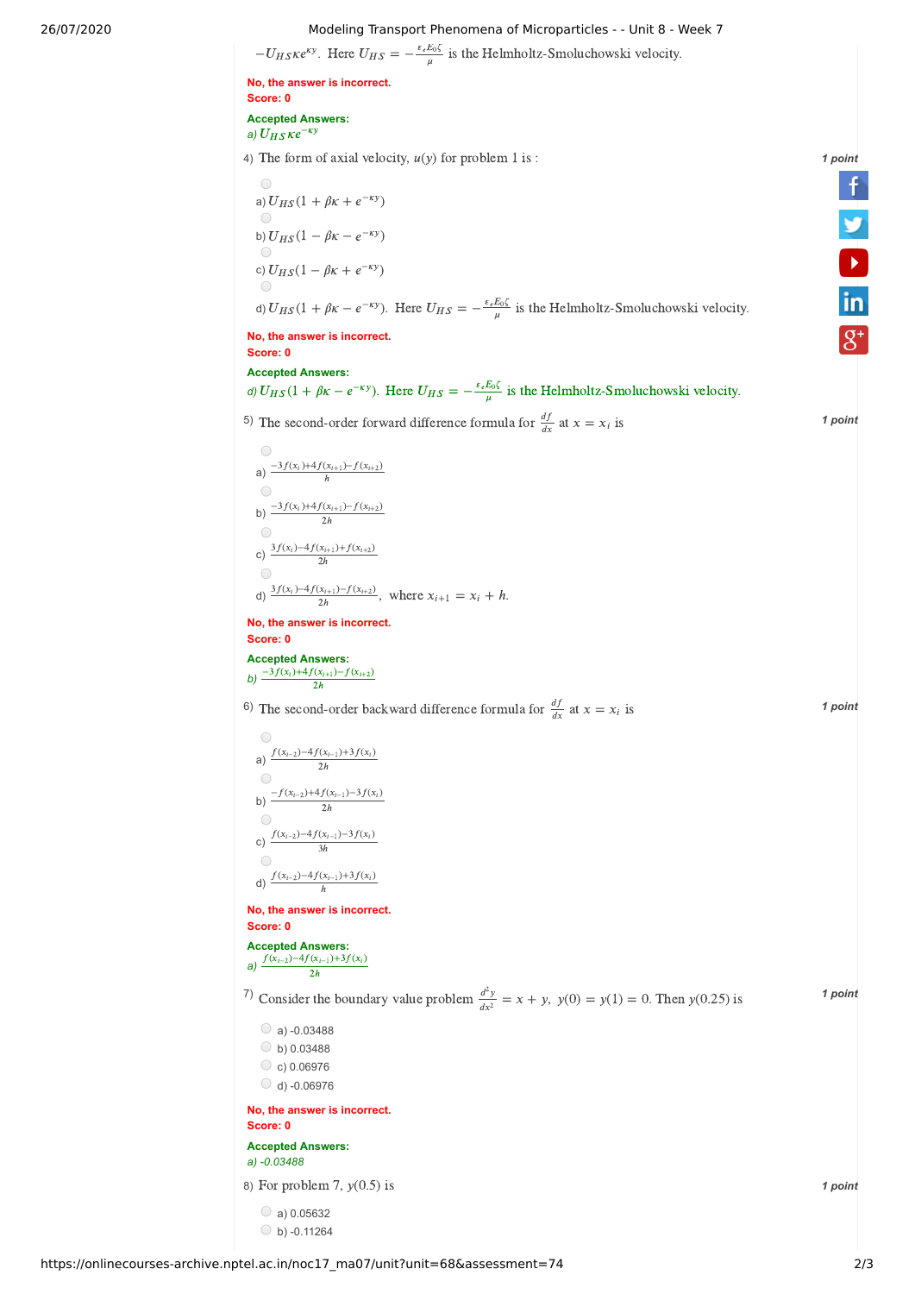## 26/07/2020 Modeling Transport Phenomena of Microparticles - - Unit 8 - Week 7

Modeling Transport Phenomena of Microparticles - - Unit 8 - W<br>  $-U_{HS} \kappa e^{\kappa y}$ . Here  $U_{HS} = -\frac{\varepsilon_e E_0 \zeta}{\mu}$  is the Helmholtz-Smoluchowski velocity.

**No, the answer is incorrect. Score: 0 Accepted Answers:** <mark>Score: 0</mark><br>Accepted Ans∘<br>a) *U<sub>HS</sub> Ke<sup>−ky</sup>* 

4) The form of axial velocity,  $u(y)$  for problem 1 is :  $\blacksquare$  1 **1 1 1 1 1 1 1** 

The form of axial velocomponent  $\Theta$ <br>
(a)  $U_{HS}(1 + \beta K + e^{-\kappa y})$ b)  $U_{HS}(1 - \beta K - e^{-\kappa y})$ b)  $U_{HS}(1 - \beta \kappa - e^{-\kappa y})$ <br>
○<br>
c)  $U_{HS}(1 - \beta \kappa + e^{-\kappa y})$ (1 +  $\beta$ K +  $e^{-ky}$ )<br>
(1 −  $\beta$ K −  $e^{-ky}$ )<br>
U<sub>HS</sub>(1 −  $\beta$ K −  $e^{-ky}$ )

c)  $U_{HS}(1 - \beta \kappa + e^{-\kappa y})$ <br>  $\Theta$ <br>
d)  $U_{HS}(1 + \beta \kappa - e^{-\kappa y})$ . Here  $U_{HS} = -\frac{\varepsilon_e E_0 \zeta}{\mu}$  is the Helmholtz-Smoluchowski velocity.

### **No, the answer is incorrect. Score: 0**

## **Accepted Answers:**

**dividing the answer is incorrect.**<br> **Score: 0**<br> **Accepted Answers:**<br> *d)*  $U_{HS}(1 + \beta \kappa - e^{-\kappa y})$ . Here  $U_{HS} = -\frac{\varepsilon_e E_0 \zeta}{\mu}$  is the Helmholtz-Smoluchowski velocity.

5) The second-order forward difference formula for 
$$
\frac{df}{dx}
$$
 at  $x = x_i$  is  
\na)  $\frac{-3f(x_i)+4f(x_{i+1})-f(x_{i+2})}{h}$   
\nb)  $\frac{-3f(x_i)+4f(x_{i+1})-f(x_{i+2})}{2h}$   
\nc)  $\frac{3f(x_i)-4f(x_{i+1})+f(x_{i+2})}{2h}$   
\nd)  $\frac{3f(x_i)-4f(x_{i+1})-f(x_{i+2})}{2h}$ , where  $x_{i+1} = x_i + h$ .  
\nNo, the answer is incorrect.  
\nScore: 0  
\nAccepted Answers:  
\nb)  $\frac{-3f(x_i)+4f(x_{i+1})-f(x_{i+2})}{2h}$ 

6) The second-order backward difference formula for  $\frac{df}{dx}$  at  $x = x_i$  is **1 point** 

The second-order bax<br>
( $\frac{f(x_{i-2})-4f(x_{i-1})+3f(x_i)}{2h}$ b)  $\frac{-f(x_{i-2})f(x_i)(x_{i-1})-3f(x_i)}{2h}$ c)  $\frac{f(x_{i-2})-4f(x_{i-1})-3f(x_i)}{3h}$ d)  $\frac{f(n-2) - f(n-1)}{h}$  $\frac{f(x_{i-2})-f(x_{i-1})+f(x_{i-1})}{2h}$ <br>-f(x<sub>i-2</sub>)+4f(x<sub>i-1</sub>)-3f(x<sub>i</sub>)

 $\overline{2h}$ 

**No, the answer is incorrect. Score: 0**

**Accepted Answers: Score: 0**<br>Accepted Answers:<br>a)  $\frac{f(x_{i-2})-4f(x_{i-1})+3f(x_i)}{2h}$  $\overline{2h}$ 

<sup>7</sup> Consider the boundary value problem  $\frac{d^2y}{dx^2} = x + y$ ,  $y(0) = y(1) = 0$ . Then  $y(0.25)$  is **1 point**  $dx^2$ 

 $\bigcirc$  a) -0.03488  $\circ$  b) 0.03488  $\circ$  c) 0.06976  $O$  d) -0.06976 **No, the answer is incorrect. Score: 0 Accepted Answers:** *a) -0.03488*

8) *1 point* For problem 7, (0.5) is

 $\circ$  a) 0.05632

**V**<br>in<br>8<sup>+</sup>